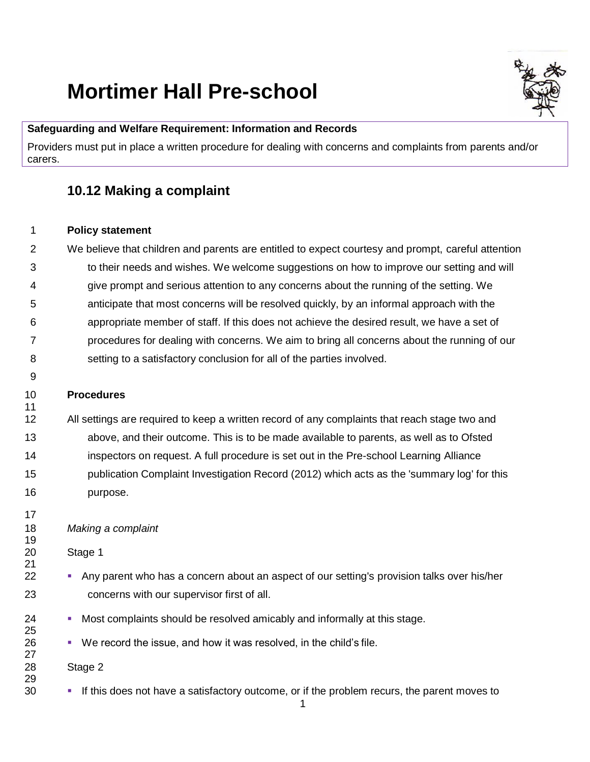# **Mortimer Hall Pre-school**

#### **Safeguarding and Welfare Requirement: Information and Records**

Providers must put in place a written procedure for dealing with concerns and complaints from parents and/or carers.

## **10.12 Making a complaint**

#### **Policy statement**

 We believe that children and parents are entitled to expect courtesy and prompt, careful attention to their needs and wishes. We welcome suggestions on how to improve our setting and will give prompt and serious attention to any concerns about the running of the setting. We anticipate that most concerns will be resolved quickly, by an informal approach with the appropriate member of staff. If this does not achieve the desired result, we have a set of procedures for dealing with concerns. We aim to bring all concerns about the running of our setting to a satisfactory conclusion for all of the parties involved.

### **Procedures**

 All settings are required to keep a written record of any complaints that reach stage two and above, and their outcome. This is to be made available to parents, as well as to Ofsted inspectors on request. A full procedure is set out in the Pre-school Learning Alliance publication Complaint Investigation Record (2012) which acts as the 'summary log' for this purpose.

### *Making a complaint*

Stage 1

- **•** Any parent who has a concern about an aspect of our setting's provision talks over his/her concerns with our supervisor first of all.
- Most complaints should be resolved amicably and informally at this stage.
- 26 We record the issue, and how it was resolved, in the child's file.

### Stage 2

**•** If this does not have a satisfactory outcome, or if the problem recurs, the parent moves to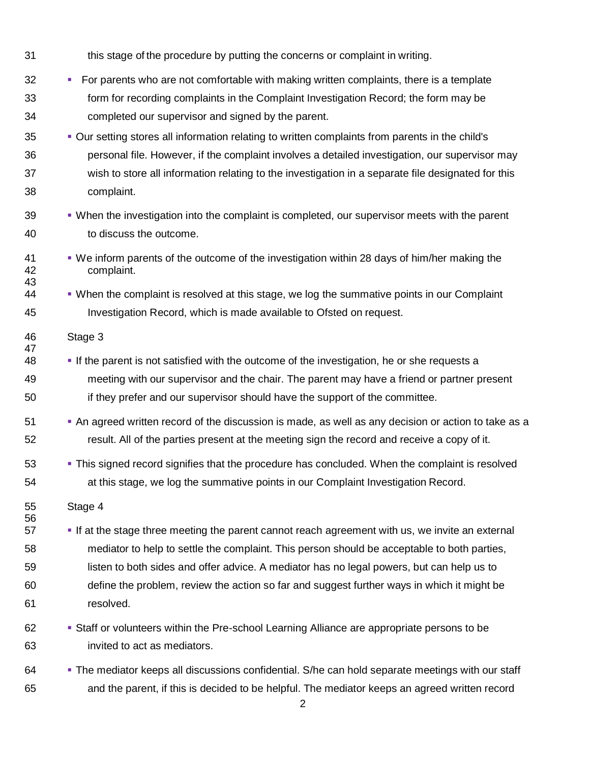- this stage of the procedure by putting the concerns or complaint in writing.
- **•** For parents who are not comfortable with making written complaints, there is a template form for recording complaints in the Complaint Investigation Record; the form may be completed our supervisor and signed by the parent.
- Our setting stores all information relating to written complaints from parents in the child's personal file. However, if the complaint involves a detailed investigation, our supervisor may wish to store all information relating to the investigation in a separate file designated for this complaint.
- 39 When the investigation into the complaint is completed, our supervisor meets with the parent to discuss the outcome.
- We inform parents of the outcome of the investigation within 28 days of him/her making the complaint.
- When the complaint is resolved at this stage, we log the summative points in our Complaint Investigation Record, which is made available to Ofsted on request.
- Stage 3
- **•** If the parent is not satisfied with the outcome of the investigation, he or she requests a meeting with our supervisor and the chair. The parent may have a friend or partner present if they prefer and our supervisor should have the support of the committee.
- An agreed written record of the discussion is made, as well as any decision or action to take as a result. All of the parties present at the meeting sign the record and receive a copy of it.
- This signed record signifies that the procedure has concluded. When the complaint is resolved at this stage, we log the summative points in our Complaint Investigation Record.
- Stage 4

- **•** If at the stage three meeting the parent cannot reach agreement with us, we invite an external mediator to help to settle the complaint. This person should be acceptable to both parties, listen to both sides and offer advice. A mediator has no legal powers, but can help us to define the problem, review the action so far and suggest further ways in which it might be resolved.
- Staff or volunteers within the Pre-school Learning Alliance are appropriate persons to be invited to act as mediators.
- 64 The mediator keeps all discussions confidential. S/he can hold separate meetings with our staff and the parent, if this is decided to be helpful. The mediator keeps an agreed written record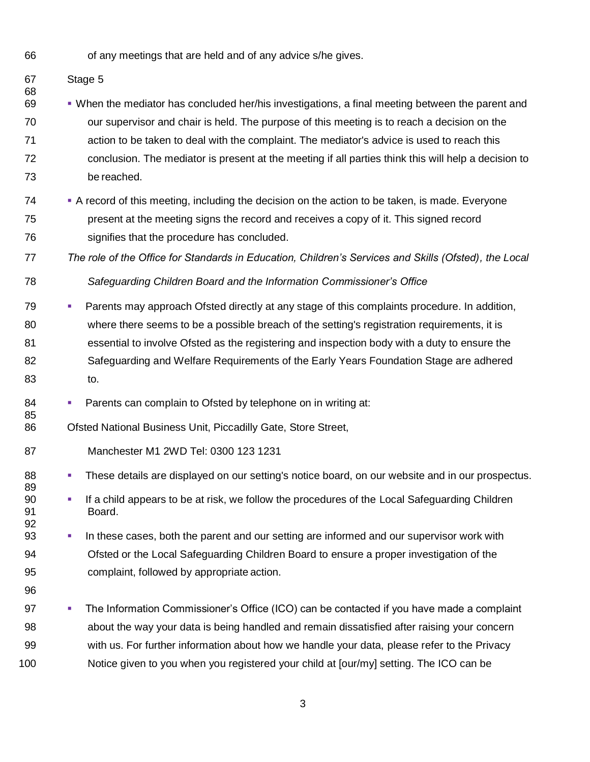of any meetings that are held and of any advice s/he gives.

Stage 5

- 69 • • When the mediator has concluded her/his investigations, a final meeting between the parent and our supervisor and chair is held. The purpose of this meeting is to reach a decision on the action to be taken to deal with the complaint. The mediator's advice is used to reach this conclusion. The mediator is present at the meeting if all parties think this will help a decision to be reached.
- A record of this meeting, including the decision on the action to be taken, is made. Everyone present at the meeting signs the record and receives a copy of it. This signed record signifies that the procedure has concluded.
- *The role of the Office for Standards in Education, Children's Services and Skills (Ofsted), the Local Safeguarding Children Board and the Information Commissioner's Office*
- Parents may approach Ofsted directly at any stage of this complaints procedure. In addition, where there seems to be a possible breach of the setting's registration requirements, it is essential to involve Ofsted as the registering and inspection body with a duty to ensure the Safeguarding and Welfare Requirements of the Early Years Foundation Stage are adhered to.
- 84 Parents can complain to Ofsted by telephone on in writing at:
- Ofsted National Business Unit, Piccadilly Gate, Store Street,
- Manchester M1 2WD Tel: 0300 123 1231
- **· These details are displayed on our setting's notice board, on our website and in our prospectus.**
- **•** If a child appears to be at risk, we follow the procedures of the Local Safeguarding Children Board.
- In these cases, both the parent and our setting are informed and our supervisor work with Ofsted or the Local Safeguarding Children Board to ensure a proper investigation of the complaint, followed by appropriate action.
- 

**•** The Information Commissioner's Office (ICO) can be contacted if you have made a complaint about the way your data is being handled and remain dissatisfied after raising your concern with us. For further information about how we handle your data, please refer to the Privacy Notice given to you when you registered your child at [our/my] setting. The ICO can be